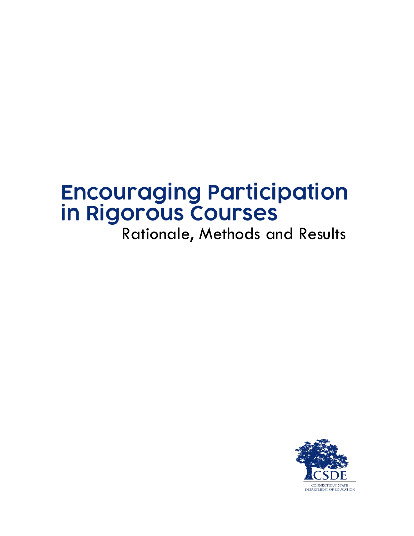# **Encouraging Participation in Rigorous Courses**<br>Rationale, Methods and Results

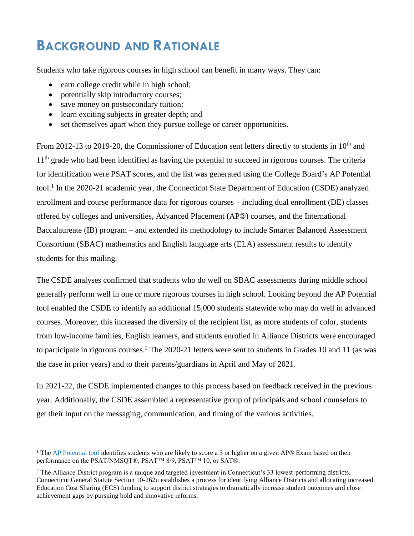# **BACKGROUND AND RATIONALE**

Students who take rigorous courses in high school can benefit in many ways. They can:

- earn college credit while in high school;
- potentially skip introductory courses;
- save money on postsecondary tuition;

 $\overline{a}$ 

- learn exciting subjects in greater depth; and
- set themselves apart when they pursue college or career opportunities.

From 2012-13 to 2019-20, the Commissioner of Education sent letters directly to students in 10<sup>th</sup> and 11<sup>th</sup> grade who had been identified as having the potential to succeed in rigorous courses. The criteria for identification were PSAT scores, and the list was generated using the College Board's AP Potential tool.<sup>1</sup> In the 2020-21 academic year, the Connecticut State Department of Education (CSDE) analyzed enrollment and course performance data for rigorous courses – including dual enrollment (DE) classes offered by colleges and universities, Advanced Placement (AP®) courses, and the International Baccalaureate (IB) program – and extended its methodology to include Smarter Balanced Assessment Consortium (SBAC) mathematics and English language arts (ELA) assessment results to identify students for this mailing.

The CSDE analyses confirmed that students who do well on SBAC assessments during middle school generally perform well in one or more rigorous courses in high school. Looking beyond the AP Potential tool enabled the CSDE to identify an additional 15,000 students statewide who may do well in advanced courses. Moreover, this increased the diversity of the recipient list, as more students of color, students from low-income families, English learners, and students enrolled in Alliance Districts were encouraged to participate in rigorous courses.<sup>2</sup> The 2020-21 letters were sent to students in Grades 10 and 11 (as was the case in prior years) and to their parents/guardians in April and May of 2021.

In 2021-22, the CSDE implemented changes to this process based on feedback received in the previous year. Additionally, the CSDE assembled a representative group of principals and school counselors to get their input on the messaging, communication, and timing of the various activities.

<sup>&</sup>lt;sup>1</sup> The [AP Potential tool](https://appotential.collegeboard.org/app/welcome.do) identifies students who are likely to score a 3 or higher on a given AP® Exam based on their performance on the PSAT/NMSQT®, PSAT™ 8/9, PSAT™ 10, or SAT®.

<sup>&</sup>lt;sup>2</sup> The Alliance District program is a unique and targeted investment in Connecticut's 33 lowest-performing districts. Connecticut General Statute Section 10-262u establishes a process for identifying Alliance Districts and allocating increased Education Cost Sharing (ECS) funding to support district strategies to dramatically increase student outcomes and close achievement gaps by pursuing bold and innovative reforms.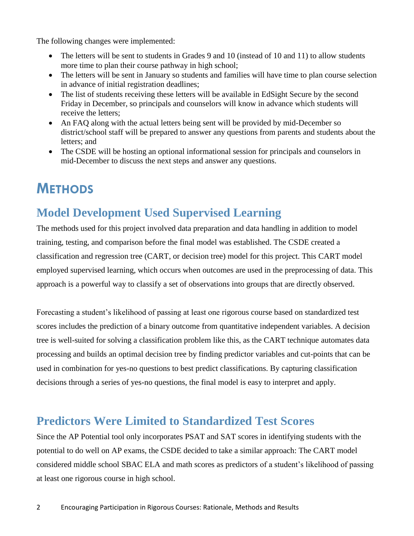The following changes were implemented:

- The letters will be sent to students in Grades 9 and 10 (instead of 10 and 11) to allow students more time to plan their course pathway in high school;
- The letters will be sent in January so students and families will have time to plan course selection in advance of initial registration deadlines;
- The list of students receiving these letters will be available in EdSight Secure by the second Friday in December, so principals and counselors will know in advance which students will receive the letters;
- An FAQ along with the actual letters being sent will be provided by mid-December so district/school staff will be prepared to answer any questions from parents and students about the letters; and
- The CSDE will be hosting an optional informational session for principals and counselors in mid-December to discuss the next steps and answer any questions.

# **METHODS**

### **Model Development Used Supervised Learning**

The methods used for this project involved data preparation and data handling in addition to model training, testing, and comparison before the final model was established. The CSDE created a classification and regression tree (CART, or decision tree) model for this project. This CART model employed supervised learning, which occurs when outcomes are used in the preprocessing of data. This approach is a powerful way to classify a set of observations into groups that are directly observed.

Forecasting a student's likelihood of passing at least one rigorous course based on standardized test scores includes the prediction of a binary outcome from quantitative independent variables. A decision tree is well-suited for solving a classification problem like this, as the CART technique automates data processing and builds an optimal decision tree by finding predictor variables and cut-points that can be used in combination for yes-no questions to best predict classifications. By capturing classification decisions through a series of yes-no questions, the final model is easy to interpret and apply.

#### **Predictors Were Limited to Standardized Test Scores**

Since the AP Potential tool only incorporates PSAT and SAT scores in identifying students with the potential to do well on AP exams, the CSDE decided to take a similar approach: The CART model considered middle school SBAC ELA and math scores as predictors of a student's likelihood of passing at least one rigorous course in high school.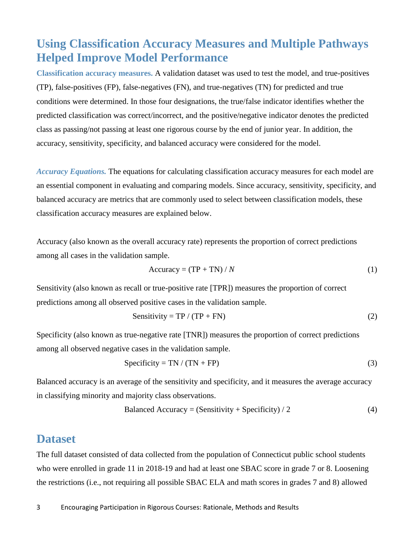#### **Using Classification Accuracy Measures and Multiple Pathways Helped Improve Model Performance**

**Classification accuracy measures.** A validation dataset was used to test the model, and true-positives (TP), false-positives (FP), false-negatives (FN), and true-negatives (TN) for predicted and true conditions were determined. In those four designations, the true/false indicator identifies whether the predicted classification was correct/incorrect, and the positive/negative indicator denotes the predicted class as passing/not passing at least one rigorous course by the end of junior year. In addition, the accuracy, sensitivity, specificity, and balanced accuracy were considered for the model.

*Accuracy Equations.* The equations for calculating classification accuracy measures for each model are an essential component in evaluating and comparing models. Since accuracy, sensitivity, specificity, and balanced accuracy are metrics that are commonly used to select between classification models, these classification accuracy measures are explained below.

Accuracy (also known as the overall accuracy rate) represents the proportion of correct predictions among all cases in the validation sample.

$$
Accuracy = (TP + TN) / N \tag{1}
$$

Sensitivity (also known as recall or true-positive rate [TPR]) measures the proportion of correct predictions among all observed positive cases in the validation sample.

$$
Sensitivity = TP / (TP + FN)
$$
 (2)

Specificity (also known as true-negative rate [TNR]) measures the proportion of correct predictions among all observed negative cases in the validation sample.

$$
Specificity = TN / (TN + FP)
$$
 (3)

Balanced accuracy is an average of the sensitivity and specificity, and it measures the average accuracy in classifying minority and majority class observations.

Balanced Accuracy = (Sensitivity + Specificity) / 2 
$$
(4)
$$

#### **Dataset**

The full dataset consisted of data collected from the population of Connecticut public school students who were enrolled in grade 11 in 2018-19 and had at least one SBAC score in grade 7 or 8. Loosening the restrictions (i.e., not requiring all possible SBAC ELA and math scores in grades 7 and 8) allowed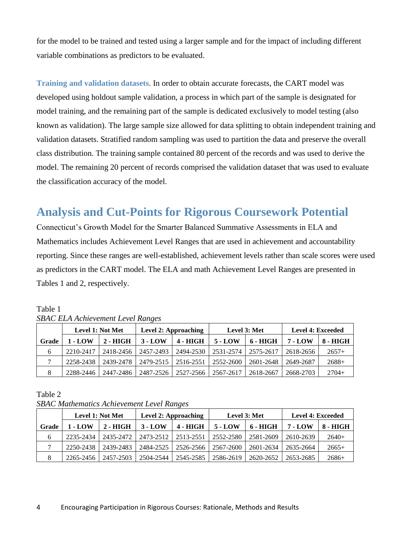for the model to be trained and tested using a larger sample and for the impact of including different variable combinations as predictors to be evaluated.

**Training and validation datasets.** In order to obtain accurate forecasts, the CART model was developed using holdout sample validation, a process in which part of the sample is designated for model training, and the remaining part of the sample is dedicated exclusively to model testing (also known as validation). The large sample size allowed for data splitting to obtain independent training and validation datasets. Stratified random sampling was used to partition the data and preserve the overall class distribution. The training sample contained 80 percent of the records and was used to derive the model. The remaining 20 percent of records comprised the validation dataset that was used to evaluate the classification accuracy of the model.

#### **Analysis and Cut-Points for Rigorous Coursework Potential**

Connecticut's Growth Model for the Smarter Balanced Summative Assessments in ELA and Mathematics includes Achievement Level Ranges that are used in achievement and accountability reporting. Since these ranges are well-established, achievement levels rather than scale scores were used as predictors in the CART model. The ELA and math Achievement Level Ranges are presented in Tables 1 and 2, respectively.

|       | Level 1: Not Met |            | Level 2: Approaching |            | Level 3: Met |            | <b>Level 4: Exceeded</b> |            |
|-------|------------------|------------|----------------------|------------|--------------|------------|--------------------------|------------|
| Grade | 1 - LOW          | $2 - HIGH$ | $3 - LOW$            | $4 - HIGH$ | $5 - LOW$    | $6 - HIGH$ | 7 - LOW                  | $8 - HIGH$ |
| 6     | 2210-2417        | 2418-2456  | 2457-2493            | 2494-2530  | 2531-2574    | 2575-2617  | 2618-2656                | $2657+$    |
|       | 2258-2438        | 2439-2478  | 2479-2515            | 2516-2551  | 2552-2600    | 2601-2648  | 2649-2687                | $2688+$    |
|       | 2288-2446        | 2447-2486  | 2487-2526            | 2527-2566  | 2567-2617    | 2618-2667  | 2668-2703                | $2704+$    |

Table 1 *SBAC ELA Achievement Level Ranges* 

Table 2

*SBAC Mathematics Achievement Level Ranges* 

|       | Level 1: Not Met |            | Level 2: Approaching |            | Level 3: Met |           | <b>Level 4: Exceeded</b> |            |
|-------|------------------|------------|----------------------|------------|--------------|-----------|--------------------------|------------|
| Grade | 1 - LOW          | $2 - HIGH$ | $3 - LOW$            | $4 - HIGH$ | $5 - LOW$    | 6 - HIGH  | 7 - LOW                  | $8 - HIGH$ |
| 6     | 2235-2434        | 2435-2472  | 2473-2512            | 2513-2551  | 2552-2580    | 2581-2609 | 2610-2639                | $2640+$    |
|       | 2250-2438        | 2439-2483  | 2484-2525            | 2526-2566  | 2567-2600    | 2601-2634 | 2635-2664                | $2665+$    |
|       | 2265-2456        | 2457-2503  | 2504-2544            | 2545-2585  | 2586-2619    | 2620-2652 | 2653-2685                | $2686+$    |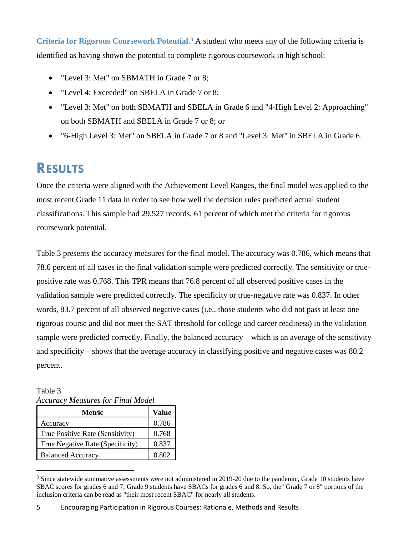**Criteria for Rigorous Coursework Potential. <sup>3</sup>** A student who meets any of the following criteria is identified as having shown the potential to complete rigorous coursework in high school:

- "Level 3: Met" on SBMATH in Grade 7 or 8;
- "Level 4: Exceeded" on SBELA in Grade 7 or 8;
- "Level 3: Met" on both SBMATH and SBELA in Grade 6 and "4-High Level 2: Approaching" on both SBMATH and SBELA in Grade 7 or 8; or
- "6-High Level 3: Met" on SBELA in Grade 7 or 8 and "Level 3: Met" in SBELA in Grade 6.

# **RESULTS**

Once the criteria were aligned with the Achievement Level Ranges, the final model was applied to the most recent Grade 11 data in order to see how well the decision rules predicted actual student classifications. This sample had 29,527 records, 61 percent of which met the criteria for rigorous coursework potential.

Table 3 presents the accuracy measures for the final model. The accuracy was 0.786, which means that 78.6 percent of all cases in the final validation sample were predicted correctly. The sensitivity or truepositive rate was 0.768. This TPR means that 76.8 percent of all observed positive cases in the validation sample were predicted correctly. The specificity or true-negative rate was 0.837. In other words, 83.7 percent of all observed negative cases (i.e., those students who did not pass at least one rigorous course and did not meet the SAT threshold for college and career readiness) in the validation sample were predicted correctly. Finally, the balanced accuracy – which is an average of the sensitivity and specificity – shows that the average accuracy in classifying positive and negative cases was 80.2 percent.

Table 3 *Accuracy Measures for Final Model*

 $\overline{a}$ 

| Metric                           | Value |  |
|----------------------------------|-------|--|
| Accuracy                         | 0.786 |  |
| True Positive Rate (Sensitivity) | 0.768 |  |
| True Negative Rate (Specificity) | 0.837 |  |
| <b>Balanced Accuracy</b>         | 0.802 |  |

<sup>&</sup>lt;sup>3</sup> Since statewide summative assessments were not administered in 2019-20 due to the pandemic, Grade 10 students have SBAC scores for grades 6 and 7; Grade 9 students have SBACs for grades 6 and 8. So, the "Grade 7 or 8" portions of the inclusion criteria can be read as "their most recent SBAC" for nearly all students.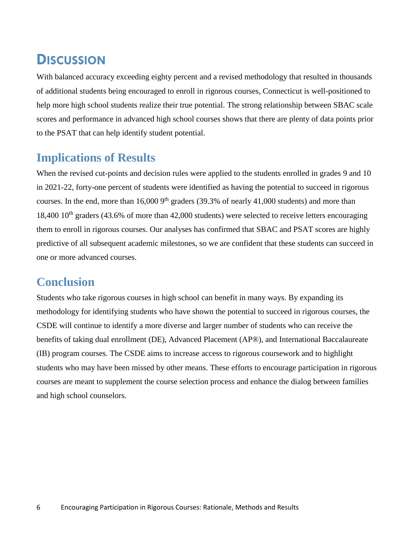## **DISCUSSION**

With balanced accuracy exceeding eighty percent and a revised methodology that resulted in thousands of additional students being encouraged to enroll in rigorous courses, Connecticut is well-positioned to help more high school students realize their true potential. The strong relationship between SBAC scale scores and performance in advanced high school courses shows that there are plenty of data points prior to the PSAT that can help identify student potential.

#### **Implications of Results**

When the revised cut-points and decision rules were applied to the students enrolled in grades 9 and 10 in 2021-22, forty-one percent of students were identified as having the potential to succeed in rigorous courses. In the end, more than  $16,0009$ <sup>th</sup> graders (39.3% of nearly 41,000 students) and more than 18,400 10<sup>th</sup> graders (43.6% of more than 42,000 students) were selected to receive letters encouraging them to enroll in rigorous courses. Our analyses has confirmed that SBAC and PSAT scores are highly predictive of all subsequent academic milestones, so we are confident that these students can succeed in one or more advanced courses.

#### **Conclusion**

Students who take rigorous courses in high school can benefit in many ways. By expanding its methodology for identifying students who have shown the potential to succeed in rigorous courses, the CSDE will continue to identify a more diverse and larger number of students who can receive the benefits of taking dual enrollment (DE), Advanced Placement (AP®), and International Baccalaureate (IB) program courses. The CSDE aims to increase access to rigorous coursework and to highlight students who may have been missed by other means. These efforts to encourage participation in rigorous courses are meant to supplement the course selection process and enhance the dialog between families and high school counselors.